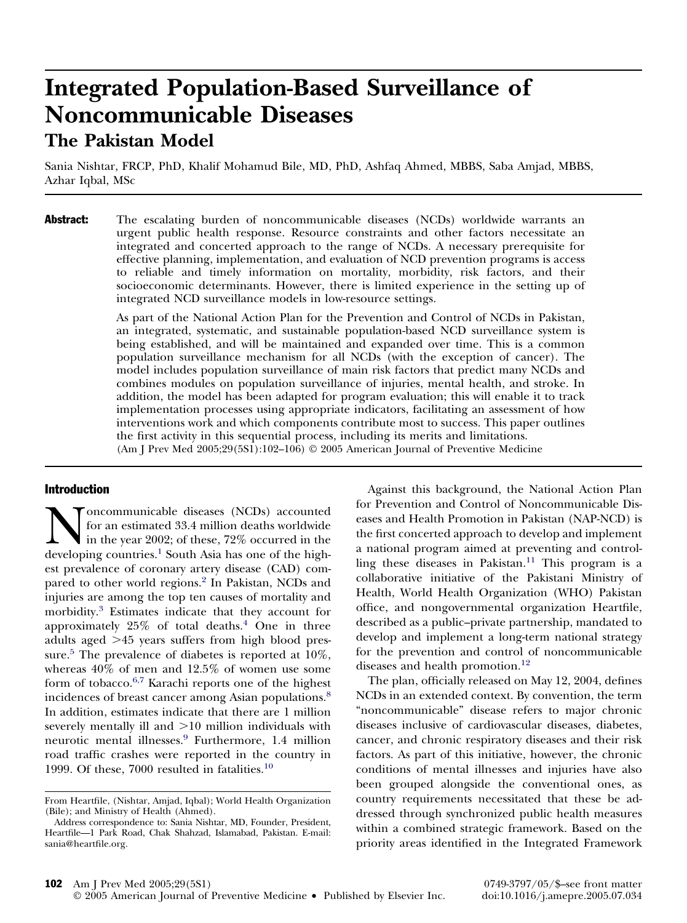# **Integrated Population-Based Surveillance of Noncommunicable Diseases The Pakistan Model**

Sania Nishtar, FRCP, PhD, Khalif Mohamud Bile, MD, PhD, Ashfaq Ahmed, MBBS, Saba Amjad, MBBS, Azhar Iqbal, MSc

**Abstract:** The escalating burden of noncommunicable diseases (NCDs) worldwide warrants an urgent public health response. Resource constraints and other factors necessitate an integrated and concerted approach to the range of NCDs. A necessary prerequisite for effective planning, implementation, and evaluation of NCD prevention programs is access to reliable and timely information on mortality, morbidity, risk factors, and their socioeconomic determinants. However, there is limited experience in the setting up of integrated NCD surveillance models in low-resource settings.

> As part of the National Action Plan for the Prevention and Control of NCDs in Pakistan, an integrated, systematic, and sustainable population-based NCD surveillance system is being established, and will be maintained and expanded over time. This is a common population surveillance mechanism for all NCDs (with the exception of cancer). The model includes population surveillance of main risk factors that predict many NCDs and combines modules on population surveillance of injuries, mental health, and stroke. In addition, the model has been adapted for program evaluation; this will enable it to track implementation processes using appropriate indicators, facilitating an assessment of how interventions work and which components contribute most to success. This paper outlines the first activity in this sequential process, including its merits and limitations. (Am J Prev Med 2005;29(5S1):102–106) © 2005 American Journal of Preventive Medicine

### Introduction

Moncommunicable diseases (NCDs) accounted<br>for an estimated 33.4 million deaths worldwide<br>developing countries.<sup>1</sup> South Asia has one of the highfor an estimated 33.4 million deaths worldwide in the year 2002; of these, 72% occurred in the est prevalence of coronary artery disease (CAD) compared to other world regions.<sup>2</sup> In Pakistan, NCDs and injuries are among the top ten causes of mortality and morbidity[.3](#page-4-0) Estimates indicate that they account for approximately 25% of total deaths[.4](#page-4-0) One in three adults aged  $>45$  years suffers from high blood pressure.<sup>5</sup> The prevalence of diabetes is reported at  $10\%$ , whereas 40% of men and 12.5% of women use some form of tobacco[.6,7](#page-4-0) Karachi reports one of the highest incidences of breast cancer among Asian populations.<sup>8</sup> In addition, estimates indicate that there are 1 million severely mentally ill and  $>10$  million individuals with neurotic mental illnesses.<sup>9</sup> Furthermore, 1.4 million road traffic crashes were reported in the country in 1999. Of these, 7000 resulted in fatalities[.10](#page-4-0)

Against this background, the National Action Plan for Prevention and Control of Noncommunicable Diseases and Health Promotion in Pakistan (NAP-NCD) is the first concerted approach to develop and implement a national program aimed at preventing and controlling these diseases in Pakistan. $11$  This program is a collaborative initiative of the Pakistani Ministry of Health, World Health Organization (WHO) Pakistan office, and nongovernmental organization Heartfile, described as a public–private partnership, mandated to develop and implement a long-term national strategy for the prevention and control of noncommunicable diseases and health promotion.<sup>12</sup>

The plan, officially released on May 12, 2004, defines NCDs in an extended context. By convention, the term "noncommunicable" disease refers to major chronic diseases inclusive of cardiovascular diseases, diabetes, cancer, and chronic respiratory diseases and their risk factors. As part of this initiative, however, the chronic conditions of mental illnesses and injuries have also been grouped alongside the conventional ones, as country requirements necessitated that these be addressed through synchronized public health measures within a combined strategic framework. Based on the priority areas identified in the Integrated Framework

From Heartfile, (Nishtar, Amjad, Iqbal); World Health Organization (Bile); and Ministry of Health (Ahmed).

Address correspondence to: Sania Nishtar, MD, Founder, President, Heartfile—1 Park Road, Chak Shahzad, Islamabad, Pakistan. E-mail: sania@heartfile.org.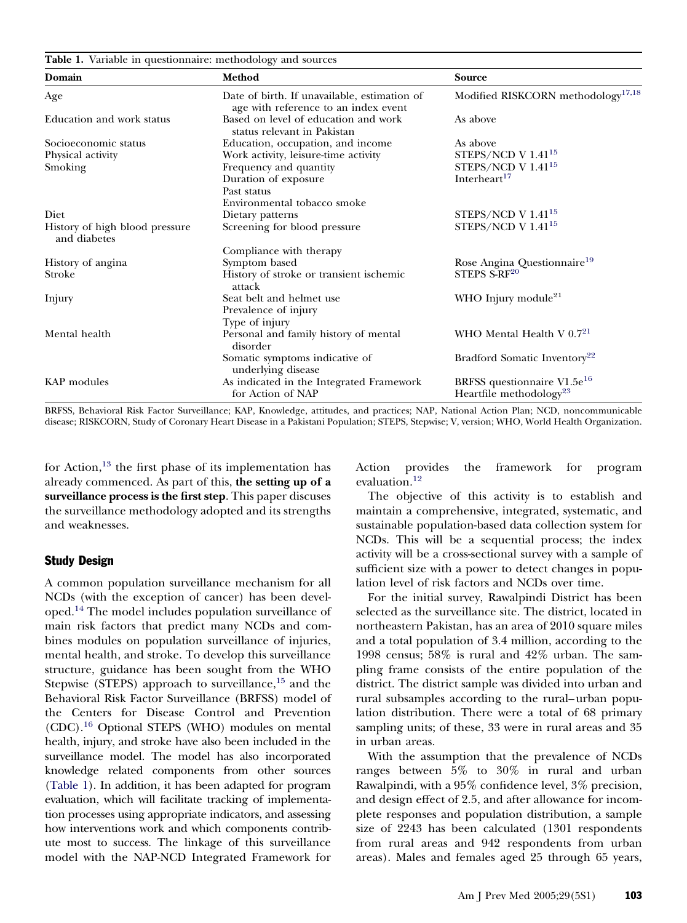<span id="page-1-0"></span>**Table 1.** Variable in questionnaire: methodology and sources

| Domain                                         | Method                                                                               | <b>Source</b>                                                                  |
|------------------------------------------------|--------------------------------------------------------------------------------------|--------------------------------------------------------------------------------|
| Age                                            | Date of birth. If unavailable, estimation of<br>age with reference to an index event | Modified RISKCORN methodology <sup>17,18</sup>                                 |
| Education and work status                      | Based on level of education and work<br>status relevant in Pakistan                  | As above                                                                       |
| Socioeconomic status                           | Education, occupation, and income                                                    | As above                                                                       |
| Physical activity                              | Work activity, leisure-time activity                                                 | STEPS/NCD V $1.41^{15}$                                                        |
| Smoking                                        | Frequency and quantity                                                               | STEPS/NCD V $1.41^{15}$                                                        |
|                                                | Duration of exposure                                                                 | Interheart <sup>17</sup>                                                       |
|                                                | Past status                                                                          |                                                                                |
|                                                | Environmental tobacco smoke                                                          |                                                                                |
| Diet                                           | Dietary patterns                                                                     | STEPS/NCD V $1.41^{15}$                                                        |
| History of high blood pressure<br>and diabetes | Screening for blood pressure                                                         | STEPS/NCD V $1.41^{15}$                                                        |
|                                                | Compliance with therapy                                                              |                                                                                |
| History of angina                              | Symptom based                                                                        | Rose Angina Questionnaire <sup>19</sup>                                        |
| Stroke                                         | History of stroke or transient ischemic<br>attack                                    | STEPS S-RF <sup>20</sup>                                                       |
| Injury                                         | Seat belt and helmet use                                                             | WHO Injury module <sup>21</sup>                                                |
|                                                | Prevalence of injury                                                                 |                                                                                |
|                                                | Type of injury                                                                       |                                                                                |
| Mental health                                  | Personal and family history of mental<br>disorder                                    | WHO Mental Health V $0.721$                                                    |
|                                                | Somatic symptoms indicative of<br>underlying disease                                 | Bradford Somatic Inventory <sup>22</sup>                                       |
| KAP modules                                    | As indicated in the Integrated Framework<br>for Action of NAP                        | BRFSS questionnaire V1.5e <sup>16</sup><br>Heartfile methodology <sup>23</sup> |

BRFSS, Behavioral Risk Factor Surveillance; KAP, Knowledge, attitudes, and practices; NAP, National Action Plan; NCD, noncommunicable disease; RISKCORN, Study of Coronary Heart Disease in a Pakistani Population; STEPS, Stepwise; V, version; WHO, World Health Organization.

for Action, $^{13}$  the first phase of its implementation has already commenced. As part of this, **the setting up of a surveillance process is the first step**. This paper discuses the surveillance methodology adopted and its strengths and weaknesses.

## Study Design

A common population surveillance mechanism for all NCDs (with the exception of cancer) has been developed[.14](#page-4-0) The model includes population surveillance of main risk factors that predict many NCDs and combines modules on population surveillance of injuries, mental health, and stroke. To develop this surveillance structure, guidance has been sought from the WHO Stepwise (STEPS) approach to surveillance,<sup>15</sup> and the Behavioral Risk Factor Surveillance (BRFSS) model of the Centers for Disease Control and Prevention (CDC)[.16](#page-4-0) Optional STEPS (WHO) modules on mental health, injury, and stroke have also been included in the surveillance model. The model has also incorporated knowledge related components from other sources (Table 1). In addition, it has been adapted for program evaluation, which will facilitate tracking of implementation processes using appropriate indicators, and assessing how interventions work and which components contribute most to success. The linkage of this surveillance model with the NAP-NCD Integrated Framework for

Action provides the framework for program evaluation[.12](#page-4-0)

The objective of this activity is to establish and maintain a comprehensive, integrated, systematic, and sustainable population-based data collection system for NCDs. This will be a sequential process; the index activity will be a cross-sectional survey with a sample of sufficient size with a power to detect changes in population level of risk factors and NCDs over time.

For the initial survey, Rawalpindi District has been selected as the surveillance site. The district, located in northeastern Pakistan, has an area of 2010 square miles and a total population of 3.4 million, according to the 1998 census; 58% is rural and 42% urban. The sampling frame consists of the entire population of the district. The district sample was divided into urban and rural subsamples according to the rural– urban population distribution. There were a total of 68 primary sampling units; of these, 33 were in rural areas and 35 in urban areas.

With the assumption that the prevalence of NCDs ranges between 5% to 30% in rural and urban Rawalpindi, with a 95% confidence level, 3% precision, and design effect of 2.5, and after allowance for incomplete responses and population distribution, a sample size of 2243 has been calculated (1301 respondents from rural areas and 942 respondents from urban areas). Males and females aged 25 through 65 years,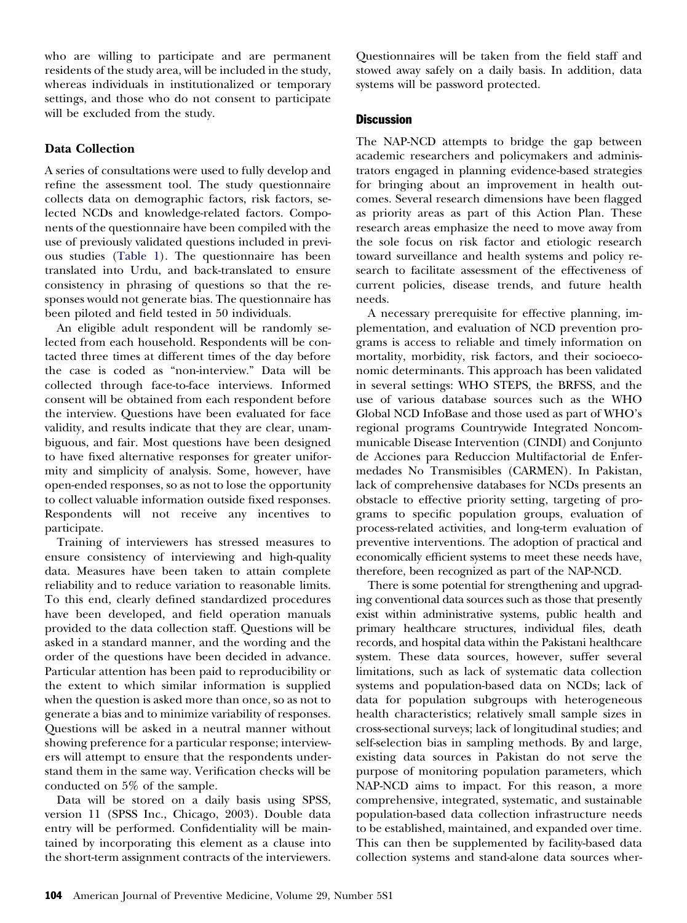who are willing to participate and are permanent residents of the study area, will be included in the study, whereas individuals in institutionalized or temporary settings, and those who do not consent to participate will be excluded from the study.

### **Data Collection**

A series of consultations were used to fully develop and refine the assessment tool. The study questionnaire collects data on demographic factors, risk factors, selected NCDs and knowledge-related factors. Components of the questionnaire have been compiled with the use of previously validated questions included in previous studies [\(Table 1\)](#page-1-0). The questionnaire has been translated into Urdu, and back-translated to ensure consistency in phrasing of questions so that the responses would not generate bias. The questionnaire has been piloted and field tested in 50 individuals.

An eligible adult respondent will be randomly selected from each household. Respondents will be contacted three times at different times of the day before the case is coded as "non-interview." Data will be collected through face-to-face interviews. Informed consent will be obtained from each respondent before the interview. Questions have been evaluated for face validity, and results indicate that they are clear, unambiguous, and fair. Most questions have been designed to have fixed alternative responses for greater uniformity and simplicity of analysis. Some, however, have open-ended responses, so as not to lose the opportunity to collect valuable information outside fixed responses. Respondents will not receive any incentives to participate.

Training of interviewers has stressed measures to ensure consistency of interviewing and high-quality data. Measures have been taken to attain complete reliability and to reduce variation to reasonable limits. To this end, clearly defined standardized procedures have been developed, and field operation manuals provided to the data collection staff. Questions will be asked in a standard manner, and the wording and the order of the questions have been decided in advance. Particular attention has been paid to reproducibility or the extent to which similar information is supplied when the question is asked more than once, so as not to generate a bias and to minimize variability of responses. Questions will be asked in a neutral manner without showing preference for a particular response; interviewers will attempt to ensure that the respondents understand them in the same way. Verification checks will be conducted on 5% of the sample.

Data will be stored on a daily basis using SPSS, version 11 (SPSS Inc., Chicago, 2003). Double data entry will be performed. Confidentiality will be maintained by incorporating this element as a clause into the short-term assignment contracts of the interviewers. Questionnaires will be taken from the field staff and stowed away safely on a daily basis. In addition, data systems will be password protected.

### **Discussion**

The NAP-NCD attempts to bridge the gap between academic researchers and policymakers and administrators engaged in planning evidence-based strategies for bringing about an improvement in health outcomes. Several research dimensions have been flagged as priority areas as part of this Action Plan. These research areas emphasize the need to move away from the sole focus on risk factor and etiologic research toward surveillance and health systems and policy research to facilitate assessment of the effectiveness of current policies, disease trends, and future health needs.

A necessary prerequisite for effective planning, implementation, and evaluation of NCD prevention programs is access to reliable and timely information on mortality, morbidity, risk factors, and their socioeconomic determinants. This approach has been validated in several settings: WHO STEPS, the BRFSS, and the use of various database sources such as the WHO Global NCD InfoBase and those used as part of WHO's regional programs Countrywide Integrated Noncommunicable Disease Intervention (CINDI) and Conjunto de Acciones para Reduccion Multifactorial de Enfermedades No Transmisibles (CARMEN). In Pakistan, lack of comprehensive databases for NCDs presents an obstacle to effective priority setting, targeting of programs to specific population groups, evaluation of process-related activities, and long-term evaluation of preventive interventions. The adoption of practical and economically efficient systems to meet these needs have, therefore, been recognized as part of the NAP-NCD.

There is some potential for strengthening and upgrading conventional data sources such as those that presently exist within administrative systems, public health and primary healthcare structures, individual files, death records, and hospital data within the Pakistani healthcare system. These data sources, however, suffer several limitations, such as lack of systematic data collection systems and population-based data on NCDs; lack of data for population subgroups with heterogeneous health characteristics; relatively small sample sizes in cross-sectional surveys; lack of longitudinal studies; and self-selection bias in sampling methods. By and large, existing data sources in Pakistan do not serve the purpose of monitoring population parameters, which NAP-NCD aims to impact. For this reason, a more comprehensive, integrated, systematic, and sustainable population-based data collection infrastructure needs to be established, maintained, and expanded over time. This can then be supplemented by facility-based data collection systems and stand-alone data sources wher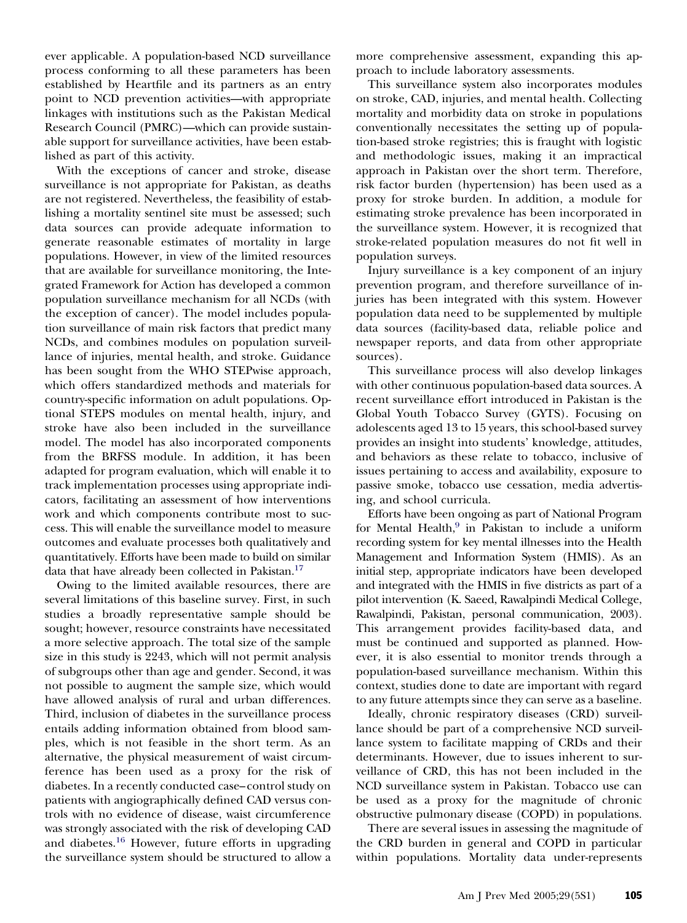ever applicable. A population-based NCD surveillance process conforming to all these parameters has been established by Heartfile and its partners as an entry point to NCD prevention activities—with appropriate linkages with institutions such as the Pakistan Medical Research Council (PMRC)—which can provide sustainable support for surveillance activities, have been established as part of this activity.

With the exceptions of cancer and stroke, disease surveillance is not appropriate for Pakistan, as deaths are not registered. Nevertheless, the feasibility of establishing a mortality sentinel site must be assessed; such data sources can provide adequate information to generate reasonable estimates of mortality in large populations. However, in view of the limited resources that are available for surveillance monitoring, the Integrated Framework for Action has developed a common population surveillance mechanism for all NCDs (with the exception of cancer). The model includes population surveillance of main risk factors that predict many NCDs, and combines modules on population surveillance of injuries, mental health, and stroke. Guidance has been sought from the WHO STEPwise approach, which offers standardized methods and materials for country-specific information on adult populations. Optional STEPS modules on mental health, injury, and stroke have also been included in the surveillance model. The model has also incorporated components from the BRFSS module. In addition, it has been adapted for program evaluation, which will enable it to track implementation processes using appropriate indicators, facilitating an assessment of how interventions work and which components contribute most to success. This will enable the surveillance model to measure outcomes and evaluate processes both qualitatively and quantitatively. Efforts have been made to build on similar data that have already been collected in Pakistan[.17](#page-4-0)

Owing to the limited available resources, there are several limitations of this baseline survey. First, in such studies a broadly representative sample should be sought; however, resource constraints have necessitated a more selective approach. The total size of the sample size in this study is 2243, which will not permit analysis of subgroups other than age and gender. Second, it was not possible to augment the sample size, which would have allowed analysis of rural and urban differences. Third, inclusion of diabetes in the surveillance process entails adding information obtained from blood samples, which is not feasible in the short term. As an alternative, the physical measurement of waist circumference has been used as a proxy for the risk of diabetes. In a recently conducted case– control study on patients with angiographically defined CAD versus controls with no evidence of disease, waist circumference was strongly associated with the risk of developing CAD and diabetes[.16](#page-4-0) However, future efforts in upgrading the surveillance system should be structured to allow a

more comprehensive assessment, expanding this approach to include laboratory assessments.

This surveillance system also incorporates modules on stroke, CAD, injuries, and mental health. Collecting mortality and morbidity data on stroke in populations conventionally necessitates the setting up of population-based stroke registries; this is fraught with logistic and methodologic issues, making it an impractical approach in Pakistan over the short term. Therefore, risk factor burden (hypertension) has been used as a proxy for stroke burden. In addition, a module for estimating stroke prevalence has been incorporated in the surveillance system. However, it is recognized that stroke-related population measures do not fit well in population surveys.

Injury surveillance is a key component of an injury prevention program, and therefore surveillance of injuries has been integrated with this system. However population data need to be supplemented by multiple data sources (facility-based data, reliable police and newspaper reports, and data from other appropriate sources).

This surveillance process will also develop linkages with other continuous population-based data sources. A recent surveillance effort introduced in Pakistan is the Global Youth Tobacco Survey (GYTS). Focusing on adolescents aged 13 to 15 years, this school-based survey provides an insight into students' knowledge, attitudes, and behaviors as these relate to tobacco, inclusive of issues pertaining to access and availability, exposure to passive smoke, tobacco use cessation, media advertising, and school curricula.

Efforts have been ongoing as part of National Program for Mental Health, $9$  in Pakistan to include a uniform recording system for key mental illnesses into the Health Management and Information System (HMIS). As an initial step, appropriate indicators have been developed and integrated with the HMIS in five districts as part of a pilot intervention (K. Saeed, Rawalpindi Medical College, Rawalpindi, Pakistan, personal communication, 2003). This arrangement provides facility-based data, and must be continued and supported as planned. However, it is also essential to monitor trends through a population-based surveillance mechanism. Within this context, studies done to date are important with regard to any future attempts since they can serve as a baseline.

Ideally, chronic respiratory diseases (CRD) surveillance should be part of a comprehensive NCD surveillance system to facilitate mapping of CRDs and their determinants. However, due to issues inherent to surveillance of CRD, this has not been included in the NCD surveillance system in Pakistan. Tobacco use can be used as a proxy for the magnitude of chronic obstructive pulmonary disease (COPD) in populations.

There are several issues in assessing the magnitude of the CRD burden in general and COPD in particular within populations. Mortality data under-represents